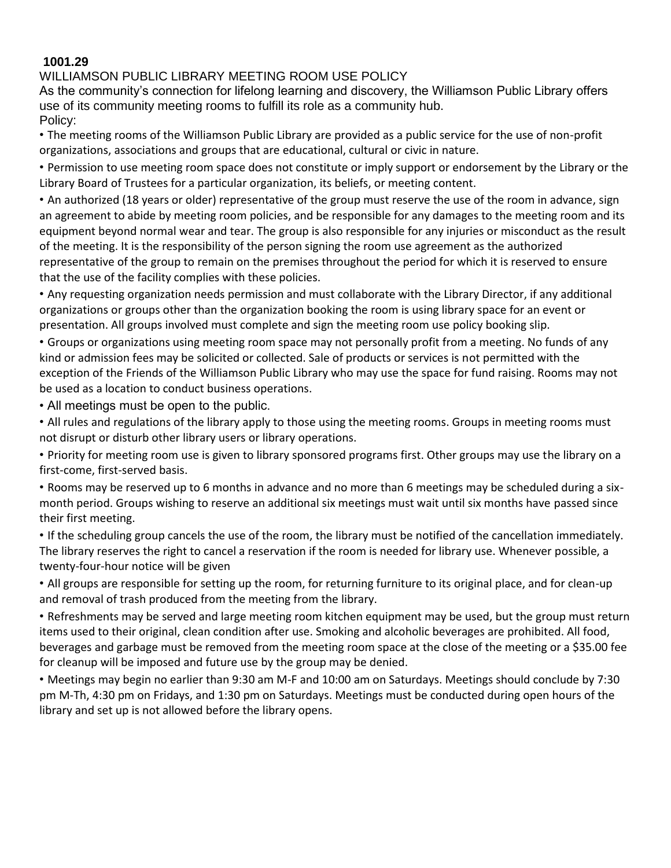## **1001.29**

## WILLIAMSON PUBLIC LIBRARY MEETING ROOM USE POLICY

As the community's connection for lifelong learning and discovery, the Williamson Public Library offers use of its community meeting rooms to fulfill its role as a community hub. Policy:

• The meeting rooms of the Williamson Public Library are provided as a public service for the use of non-profit organizations, associations and groups that are educational, cultural or civic in nature.

• Permission to use meeting room space does not constitute or imply support or endorsement by the Library or the Library Board of Trustees for a particular organization, its beliefs, or meeting content.

• An authorized (18 years or older) representative of the group must reserve the use of the room in advance, sign an agreement to abide by meeting room policies, and be responsible for any damages to the meeting room and its equipment beyond normal wear and tear. The group is also responsible for any injuries or misconduct as the result of the meeting. It is the responsibility of the person signing the room use agreement as the authorized representative of the group to remain on the premises throughout the period for which it is reserved to ensure that the use of the facility complies with these policies.

• Any requesting organization needs permission and must collaborate with the Library Director, if any additional organizations or groups other than the organization booking the room is using library space for an event or presentation. All groups involved must complete and sign the meeting room use policy booking slip.

• Groups or organizations using meeting room space may not personally profit from a meeting. No funds of any kind or admission fees may be solicited or collected. Sale of products or services is not permitted with the exception of the Friends of the Williamson Public Library who may use the space for fund raising. Rooms may not be used as a location to conduct business operations.

• All meetings must be open to the public.

• All rules and regulations of the library apply to those using the meeting rooms. Groups in meeting rooms must not disrupt or disturb other library users or library operations.

• Priority for meeting room use is given to library sponsored programs first. Other groups may use the library on a first-come, first-served basis.

• Rooms may be reserved up to 6 months in advance and no more than 6 meetings may be scheduled during a sixmonth period. Groups wishing to reserve an additional six meetings must wait until six months have passed since their first meeting.

• If the scheduling group cancels the use of the room, the library must be notified of the cancellation immediately. The library reserves the right to cancel a reservation if the room is needed for library use. Whenever possible, a twenty-four-hour notice will be given

• All groups are responsible for setting up the room, for returning furniture to its original place, and for clean-up and removal of trash produced from the meeting from the library.

• Refreshments may be served and large meeting room kitchen equipment may be used, but the group must return items used to their original, clean condition after use. Smoking and alcoholic beverages are prohibited. All food, beverages and garbage must be removed from the meeting room space at the close of the meeting or a \$35.00 fee for cleanup will be imposed and future use by the group may be denied.

• Meetings may begin no earlier than 9:30 am M-F and 10:00 am on Saturdays. Meetings should conclude by 7:30 pm M-Th, 4:30 pm on Fridays, and 1:30 pm on Saturdays. Meetings must be conducted during open hours of the library and set up is not allowed before the library opens.